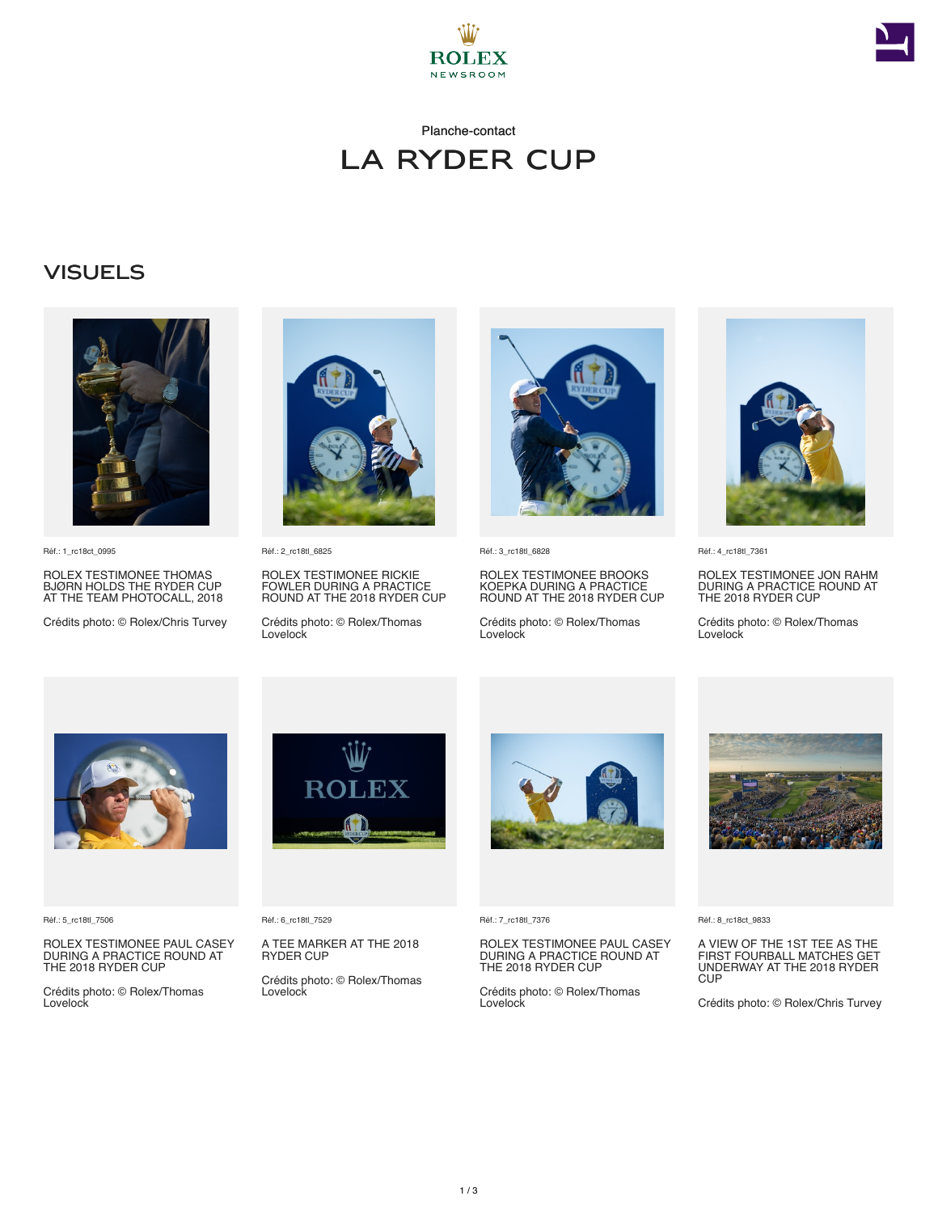



## Planche-contact La Ryder Cup

## **VISUELS**



Réf.: 1\_rc18ct\_0995

ROLEX TESTIMONEE THOMAS BJØRN HOLDS THE RYDER CUP AT THE TEAM PHOTOCALL, 2018

Crédits photo: © Rolex/Chris Turvey



Réf.: 2\_rc18tl\_6825

ROLEX TESTIMONEE RICKIE FOWLER DURING A PRACTICE ROUND AT THE 2018 RYDER CUP

Crédits photo: © Rolex/Thomas Lovelock



Réf.: 3\_rc18tl\_6828

ROLEX TESTIMONEE BROOKS KOEPKA DURING A PRACTICE ROUND AT THE 2018 RYDER CUP

Crédits photo: © Rolex/Thomas Lovelock



Réf.: 4\_rc18tl\_7361

ROLEX TESTIMONEE JON RAHM DURING A PRACTICE ROUND AT THE 2018 RYDER CUP

Crédits photo: © Rolex/Thomas Lovelock



Réf.: 5\_rc18tl\_7506

ROLEX TESTIMONEE PAUL CASEY DURING A PRACTICE ROUND AT THE 2018 RYDER CUP

Crédits photo: © Rolex/Thomas Lovelock



Réf.: 6\_rc18tl\_7529

A TEE MARKER AT THE 2018 RYDER CUP

Crédits photo: © Rolex/Thomas Lovelock



Réf.: 7\_rc18tl\_7376

ROLEX TESTIMONEE PAUL CASEY DURING A PRACTICE ROUND AT THE 2018 RYDER CUP

Crédits photo: © Rolex/Thomas Lovelock



Réf.: 8\_rc18ct\_9833

A VIEW OF THE 1ST TEE AS THE FIRST FOURBALL MATCHES GET UNDERWAY AT THE 2018 RYDER **CUP** 

Crédits photo: © Rolex/Chris Turvey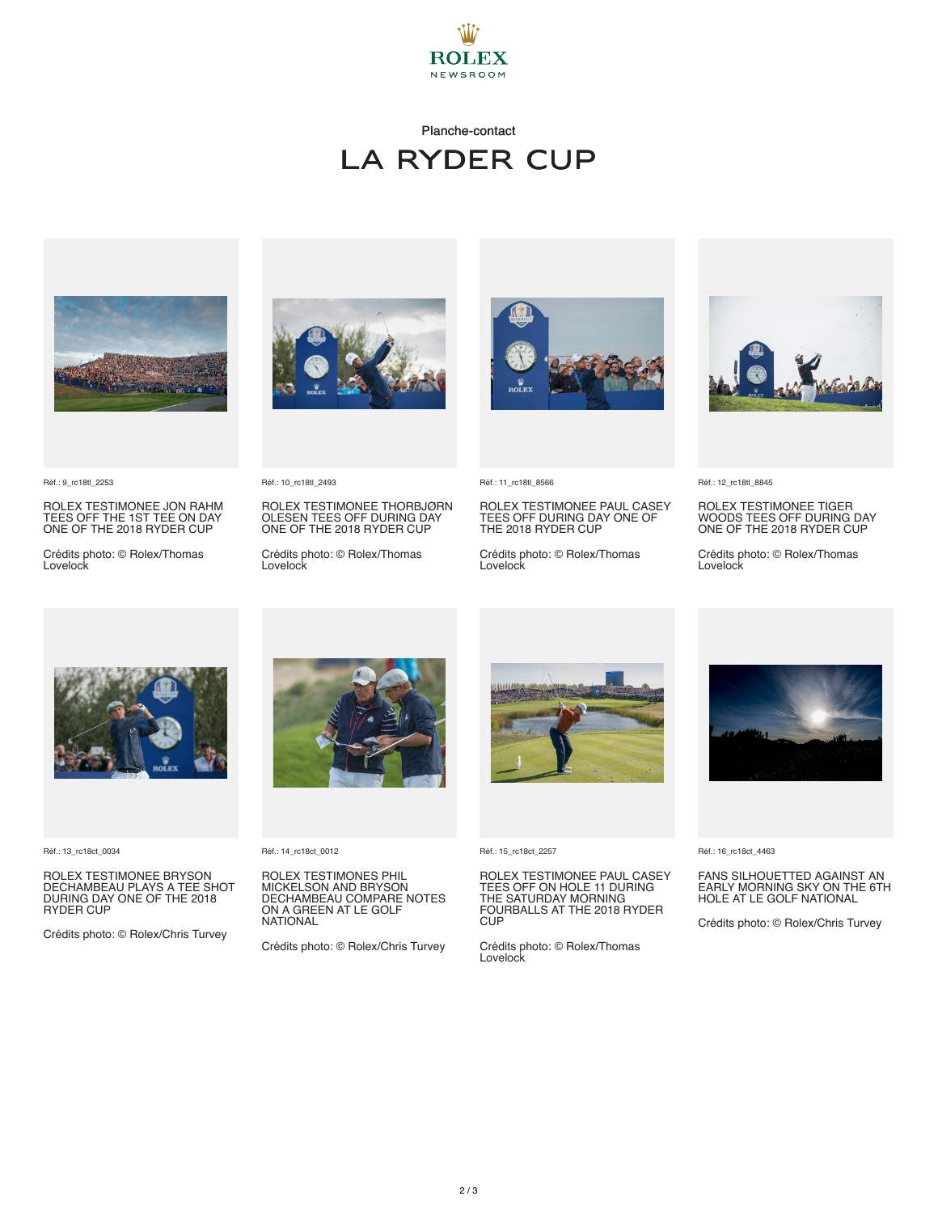

## Planche-contact La Ryder Cup



Réf.: 9\_rc18tl\_2253

ROLEX TESTIMONEE JON RAHM TEES OFF THE 1ST TEE ON DAY ONE OF THE 2018 RYDER CUP

Crédits photo: © Rolex/Thomas Lovelock



Réf.: 10\_rc18tl\_2493

ROLEX TESTIMONEE THORBJØRN OLESEN TEES OFF DURING DAY ONE OF THE 2018 RYDER CUP

Crédits photo: © Rolex/Thomas Lovelock



Réf.: 11\_rc18tl\_8566

ROLEX TESTIMONEE PAUL CASEY TEES OFF DURING DAY ONE OF THE 2018 RYDER CUP

Crédits photo: © Rolex/Thomas Lovelock



Réf.: 12\_rc18tl\_8845

ROLEX TESTIMONEE TIGER WOODS TEES OFF DURING DAY ONE OF THE 2018 RYDER CUP

Crédits photo: © Rolex/Thomas Lovelock



Réf.: 13\_rc18ct\_0034

ROLEX TESTIMONEE BRYSON DECHAMBEAU PLAYS A TEE SHOT DURING DAY ONE OF THE 2018 RYDER CUP

Crédits photo: © Rolex/Chris Turvey



Réf.: 14\_rc18ct\_0012

ROLEX TESTIMONES PHIL MICKELSON AND BRYSON DECHAMBEAU COMPARE NOTES ON A GREEN AT LE GOLF NATIONAL

Crédits photo: © Rolex/Chris Turvey



Réf.: 15\_rc18ct\_2257

ROLEX TESTIMONEE PAUL CASEY TEES OFF ON HOLE 11 DURING THE SATURDAY MORNING FOURBALLS AT THE 2018 RYDER **CUP** 

Crédits photo: © Rolex/Thomas **Lovelock** 



Réf.: 16\_rc18ct\_4463

FANS SILHOUETTED AGAINST AN EARLY MORNING SKY ON THE 6TH HOLE AT LE GOLF NATIONAL

Crédits photo: © Rolex/Chris Turvey